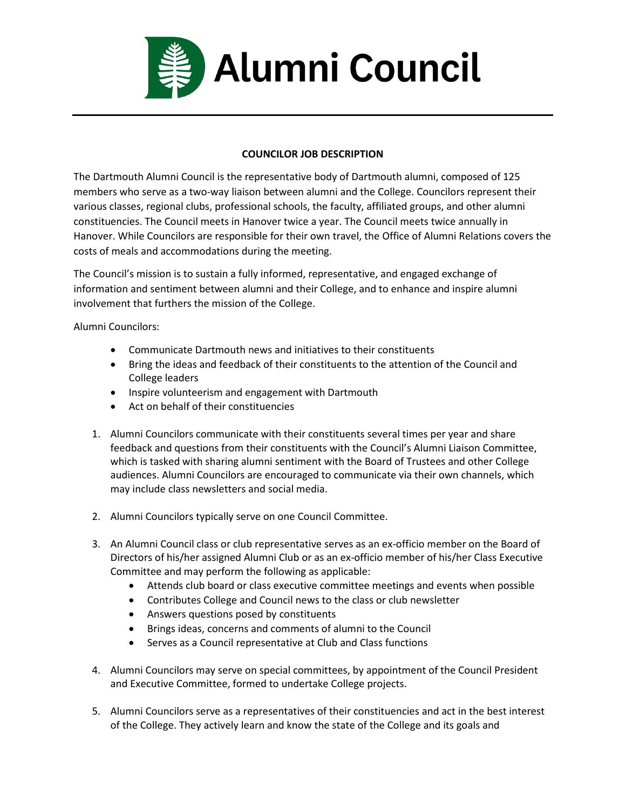

## **COUNCILOR JOB DESCRIPTION**

The Dartmouth Alumni Council is the representative body of Dartmouth alumni, composed of 125 members who serve as a two-way liaison between alumni and the College. Councilors represent their various classes, regional clubs, professional schools, the faculty, affiliated groups, and other alumni constituencies. The Council meets in Hanover twice a year. The Council meets twice annually in Hanover. While Councilors are responsible for their own travel, the Office of Alumni Relations covers the costs of meals and accommodations during the meeting.

The Council's mission is to sustain a fully informed, representative, and engaged exchange of information and sentiment between alumni and their College, and to enhance and inspire alumni involvement that furthers the mission of the College.

Alumni Councilors:

- Communicate Dartmouth news and initiatives to their constituents
- Bring the ideas and feedback of their constituents to the attention of the Council and College leaders
- Inspire volunteerism and engagement with Dartmouth
- Act on behalf of their constituencies
- 1. Alumni Councilors communicate with their constituents several times per year and share feedback and questions from their constituents with the Council's Alumni Liaison Committee, which is tasked with sharing alumni sentiment with the Board of Trustees and other College audiences. Alumni Councilors are encouraged to communicate via their own channels, which may include class newsletters and social media.
- 2. Alumni Councilors typically serve on one Council Committee.
- 3. An Alumni Council class or club representative serves as an ex-officio member on the Board of Directors of his/her assigned Alumni Club or as an ex-officio member of his/her Class Executive Committee and may perform the following as applicable:
	- Attends club board or class executive committee meetings and events when possible
	- Contributes College and Council news to the class or club newsletter
	- Answers questions posed by constituents
	- Brings ideas, concerns and comments of alumni to the Council
	- Serves as a Council representative at Club and Class functions
- 4. Alumni Councilors may serve on special committees, by appointment of the Council President and Executive Committee, formed to undertake College projects.
- 5. Alumni Councilors serve as a representatives of their constituencies and act in the best interest of the College. They actively learn and know the state of the College and its goals and